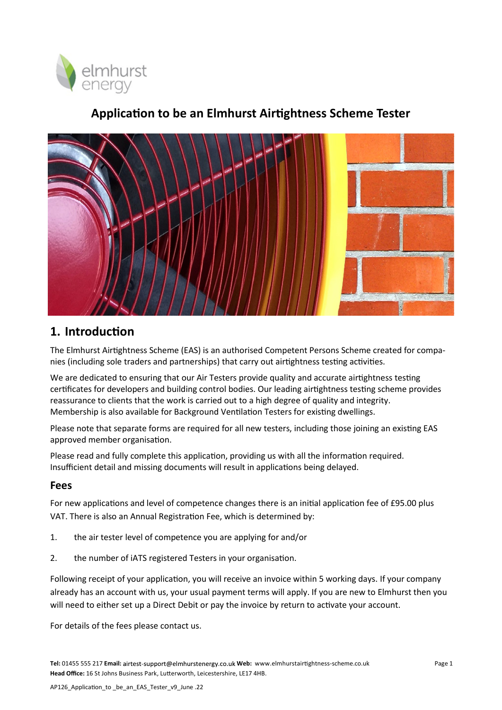

## **Application to be an Elmhurst Airtightness Scheme Tester**



### **1. Introduction**

The Elmhurst Airtightness Scheme (EAS) is an authorised Competent Persons Scheme created for companies (including sole traders and partnerships) that carry out airtightness testing activities.

We are dedicated to ensuring that our Air Testers provide quality and accurate airtightness testing certificates for developers and building control bodies. Our leading airtightness testing scheme provides reassurance to clients that the work is carried out to a high degree of quality and integrity. Membership is also available for Background Ventilation Testers for existing dwellings.

Please note that separate forms are required for all new testers, including those joining an existing EAS approved member organisation.

Please read and fully complete this application, providing us with all the information required. Insufficient detail and missing documents will result in applications being delayed.

#### **Fees**

For new applications and level of competence changes there is an initial application fee of £95.00 plus VAT. There is also an Annual Registration Fee, which is determined by:

- 1. the air tester level of competence you are applying for and/or
- 2. the number of iATS registered Testers in your organisation.

Following receipt of your application, you will receive an invoice within 5 working days. If your company already has an account with us, your usual payment terms will apply. If you are new to Elmhurst then you will need to either set up a Direct Debit or pay the invoice by return to activate your account.

For details of the fees please contact us.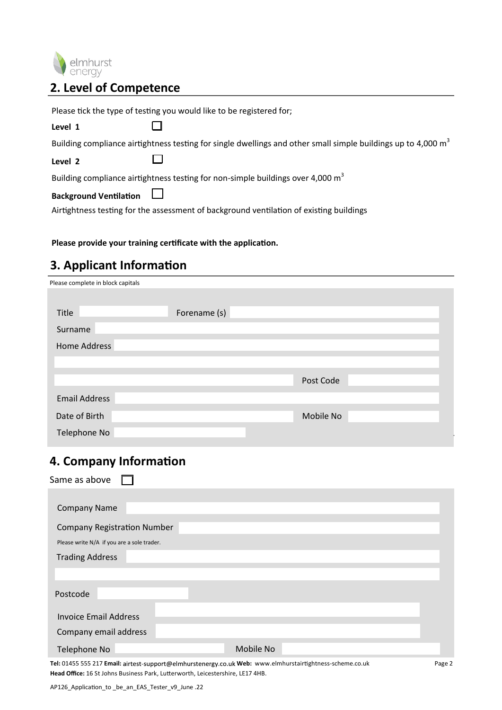

### **2. Level of Competence**

Please tick the type of testing you would like to be registered for;  $\Box$ **Level 1** Building compliance airtightness testing for single dwellings and other small simple buildings up to 4,000  $m<sup>3</sup>$ П **Level 2** Building compliance airtightness testing for non-simple buildings over 4,000  $m^3$  $\overline{\phantom{0}}$ **Background Ventilation** Airtightness testing for the assessment of background ventilation of existing buildings

#### **Please provide your training certificate with the application.**

### **3. Applicant Information**

| Please complete in block capitals |              |           |  |
|-----------------------------------|--------------|-----------|--|
|                                   |              |           |  |
| Title                             | Forename (s) |           |  |
| Surname                           |              |           |  |
| Home Address                      |              |           |  |
|                                   |              |           |  |
|                                   |              | Post Code |  |
| <b>Email Address</b>              |              |           |  |
| Date of Birth                     |              | Mobile No |  |
| Telephone No                      |              |           |  |

#### **4. Company Information**

| Same as above                              |           |
|--------------------------------------------|-----------|
|                                            |           |
| <b>Company Name</b>                        |           |
| <b>Company Registration Number</b>         |           |
| Please write N/A if you are a sole trader. |           |
| <b>Trading Address</b>                     |           |
|                                            |           |
| Postcode                                   |           |
| <b>Invoice Email Address</b>               |           |
| Company email address                      |           |
| Telephone No                               | Mobile No |
|                                            |           |

Tel: 01455 555 217 Email: airtest-support@elmhurstenergy.co.uk Web: www.elmhurstairtightness-scheme.co.uk **Head Office:** 16 St Johns Business Park, Lutterworth, Leicestershire, LE17 4HB.